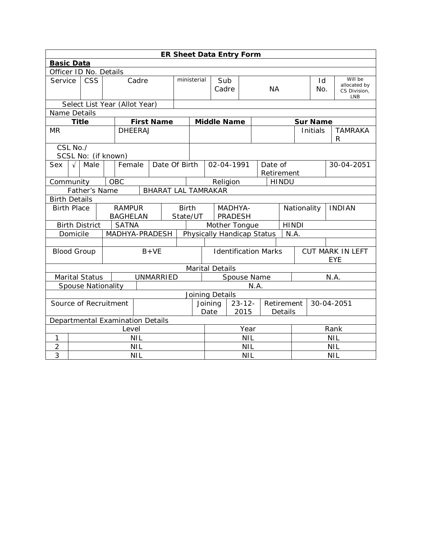| <b>ER Sheet Data Entry Form</b>  |                        |                               |  |                                  |            |                                              |            |             |                           |                        |                             |            |                              |            |                 |                     |                         |
|----------------------------------|------------------------|-------------------------------|--|----------------------------------|------------|----------------------------------------------|------------|-------------|---------------------------|------------------------|-----------------------------|------------|------------------------------|------------|-----------------|---------------------|-------------------------|
| <b>Basic Data</b>                |                        |                               |  |                                  |            |                                              |            |             |                           |                        |                             |            |                              |            |                 |                     |                         |
|                                  | Officer ID No. Details |                               |  |                                  |            |                                              |            |             |                           |                        |                             |            |                              |            |                 |                     |                         |
|                                  | <b>CSS</b><br>Service  |                               |  | Cadre                            |            |                                              |            | ministerial |                           | Sub                    |                             |            |                              |            | Id              |                     | Will be<br>allocated by |
|                                  |                        |                               |  |                                  |            |                                              |            |             |                           | Cadre<br><b>NA</b>     |                             |            |                              | No.        |                 | CS Division,<br>LNB |                         |
|                                  |                        | Select List Year (Allot Year) |  |                                  |            |                                              |            |             |                           |                        |                             |            |                              |            |                 |                     |                         |
| Name Details                     |                        |                               |  |                                  |            |                                              |            |             |                           |                        |                             |            |                              |            |                 |                     |                         |
|                                  | <b>Title</b>           |                               |  |                                  |            | <b>First Name</b>                            |            |             |                           | <b>Middle Name</b>     |                             |            |                              |            | <b>Sur Name</b> |                     |                         |
| <b>MR</b>                        |                        |                               |  | <b>DHEERAJ</b>                   |            |                                              |            |             |                           |                        |                             |            |                              |            | Initials        |                     | <b>TAMRAKA</b><br>R     |
|                                  | CSL No./               | SCSL No: (if known)           |  |                                  |            |                                              |            |             |                           |                        |                             |            |                              |            |                 |                     |                         |
| <b>Sex</b>                       | $\sqrt{ }$             | Male                          |  | Female                           |            | Date Of Birth                                |            |             |                           | 02-04-1991             |                             | Date of    |                              |            |                 |                     | 30-04-2051              |
|                                  |                        |                               |  |                                  |            |                                              |            |             |                           |                        |                             | Retirement |                              |            |                 |                     |                         |
|                                  | OBC<br>Community       |                               |  |                                  |            |                                              |            |             |                           | Religion               |                             |            | <b>HINDU</b>                 |            |                 |                     |                         |
|                                  |                        | Father's Name                 |  |                                  |            | <b>BHARAT LAL TAMRAKAR</b>                   |            |             |                           |                        |                             |            |                              |            |                 |                     |                         |
| <b>Birth Details</b>             |                        |                               |  |                                  |            |                                              |            |             |                           |                        |                             |            |                              |            |                 |                     |                         |
|                                  | <b>Birth Place</b>     |                               |  | <b>RAMPUR</b><br><b>BAGHELAN</b> |            | <b>Birth</b><br>State/UT                     |            |             | MADHYA-<br><b>PRADESH</b> |                        |                             |            | Nationality<br><b>INDIAN</b> |            |                 |                     |                         |
|                                  |                        | <b>Birth District</b>         |  | <b>SATNA</b>                     |            |                                              |            |             | Mother Tongue             |                        |                             |            | <b>HINDI</b>                 |            |                 |                     |                         |
|                                  | Domicile               |                               |  |                                  |            | MADHYA-PRADESH<br>Physically Handicap Status |            |             |                           | N.A.                   |                             |            |                              |            |                 |                     |                         |
|                                  |                        |                               |  |                                  |            |                                              |            |             |                           |                        |                             |            |                              |            |                 |                     |                         |
|                                  |                        | <b>Blood Group</b>            |  |                                  |            | $B+VE$                                       |            |             |                           |                        | <b>Identification Marks</b> |            |                              |            |                 | <b>EYE</b>          | <b>CUT MARK IN LEFT</b> |
|                                  |                        |                               |  |                                  |            |                                              |            |             |                           | <b>Marital Details</b> |                             |            |                              |            |                 |                     |                         |
|                                  |                        | <b>Marital Status</b>         |  |                                  |            | <b>UNMARRIED</b>                             |            |             | Spouse Name               |                        |                             |            |                              |            | N.A.            |                     |                         |
|                                  |                        | <b>Spouse Nationality</b>     |  |                                  |            |                                              |            |             |                           |                        |                             | N.A.       |                              |            |                 |                     |                         |
|                                  | Joining Details        |                               |  |                                  |            |                                              |            |             |                           |                        |                             |            |                              |            |                 |                     |                         |
|                                  | Source of Recruitment  |                               |  |                                  |            |                                              | Joining    |             | $23 - 12 -$               |                        | Retirement                  |            | 30-04-2051                   |            |                 |                     |                         |
|                                  |                        |                               |  |                                  |            |                                              |            | Date        |                           | 2015                   |                             | Details    |                              |            |                 |                     |                         |
| Departmental Examination Details |                        |                               |  |                                  |            |                                              |            |             |                           |                        |                             |            |                              |            |                 |                     |                         |
|                                  |                        |                               |  | Level                            |            |                                              |            |             | Year                      |                        |                             |            |                              | Rank       |                 |                     |                         |
| 1                                |                        |                               |  |                                  | <b>NIL</b> |                                              |            |             | <b>NIL</b>                |                        |                             |            |                              | <b>NIL</b> |                 |                     |                         |
| $\overline{2}$                   |                        |                               |  |                                  | <b>NIL</b> |                                              |            |             | <b>NIL</b>                |                        |                             |            |                              | <b>NIL</b> |                 |                     |                         |
| 3                                | <b>NIL</b>             |                               |  |                                  |            |                                              | <b>NIL</b> |             |                           |                        |                             | <b>NIL</b> |                              |            |                 |                     |                         |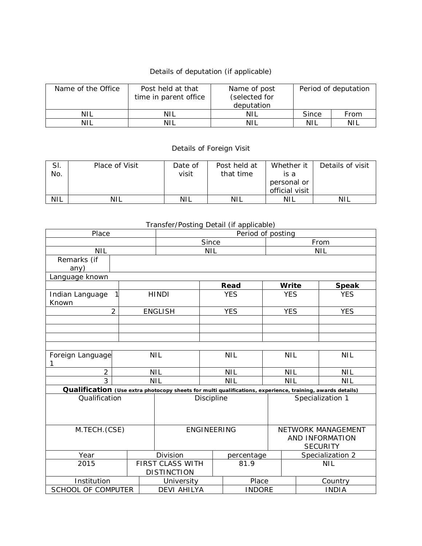## Details of deputation (if applicable)

| Name of the Office | Post held at that<br>time in parent office | Name of post<br>(selected for<br>deputation | Period of deputation |      |  |  |
|--------------------|--------------------------------------------|---------------------------------------------|----------------------|------|--|--|
| <b>NIL</b>         | NIL                                        | NIL                                         | <b>Since</b>         | From |  |  |
| <b>NIL</b>         | NIL                                        | NIL                                         | NIL                  | NIL  |  |  |

## Details of Foreign Visit

| SI.<br>No. | Place of Visit | Date of<br>visit | Post held at<br>that time | Whether it<br>is a<br>personal or<br>official visit | Details of visit |
|------------|----------------|------------------|---------------------------|-----------------------------------------------------|------------------|
|            |                |                  |                           |                                                     |                  |
| <b>NIL</b> | NIL            | NIL              | <b>NIL</b>                | NIL                                                 | NIL              |

| Transier/Fosting Detail (if applicable) |                |                    |                                                                                                           |                   |                  |  |                          |                 |                  |  |
|-----------------------------------------|----------------|--------------------|-----------------------------------------------------------------------------------------------------------|-------------------|------------------|--|--------------------------|-----------------|------------------|--|
| Place                                   |                |                    |                                                                                                           | Period of posting |                  |  |                          |                 |                  |  |
|                                         |                |                    |                                                                                                           | Since             |                  |  | From                     |                 |                  |  |
| <b>NIL</b>                              |                |                    | <b>NIL</b>                                                                                                |                   |                  |  |                          | <b>NIL</b>      |                  |  |
| Remarks (if                             |                |                    |                                                                                                           |                   |                  |  |                          |                 |                  |  |
| any)                                    |                |                    |                                                                                                           |                   |                  |  |                          |                 |                  |  |
| Language known                          |                |                    |                                                                                                           |                   |                  |  |                          |                 |                  |  |
|                                         |                |                    |                                                                                                           |                   | Read             |  | Write                    |                 | <b>Speak</b>     |  |
| Indian Language<br>Known                |                |                    | <b>HINDI</b>                                                                                              |                   | <b>YES</b>       |  | <b>YES</b>               |                 | <b>YES</b>       |  |
|                                         | $\overline{2}$ |                    | <b>ENGLISH</b>                                                                                            |                   | <b>YES</b>       |  | <b>YES</b>               |                 | <b>YES</b>       |  |
|                                         |                |                    |                                                                                                           |                   |                  |  |                          |                 |                  |  |
|                                         |                |                    |                                                                                                           |                   |                  |  |                          |                 |                  |  |
|                                         |                |                    |                                                                                                           |                   |                  |  |                          |                 |                  |  |
|                                         |                |                    |                                                                                                           |                   |                  |  |                          |                 |                  |  |
| Foreign Language                        |                |                    | <b>NIL</b>                                                                                                | <b>NIL</b>        |                  |  | <b>NIL</b><br><b>NIL</b> |                 |                  |  |
| 1                                       |                |                    |                                                                                                           |                   |                  |  |                          |                 |                  |  |
| $\overline{2}$                          |                |                    | <b>NIL</b><br><b>NIL</b>                                                                                  |                   |                  |  | <b>NIL</b>               |                 | <b>NIL</b>       |  |
| 3                                       |                |                    | <b>NIL</b>                                                                                                |                   | <b>NIL</b>       |  | <b>NIL</b>               |                 | <b>NIL</b>       |  |
|                                         |                |                    | Qualification (Use extra photocopy sheets for multi qualifications, experience, training, awards details) |                   |                  |  |                          |                 |                  |  |
| Qualification                           |                | Discipline         |                                                                                                           |                   | Specialization 1 |  |                          |                 |                  |  |
|                                         |                |                    |                                                                                                           |                   |                  |  |                          |                 |                  |  |
|                                         |                |                    |                                                                                                           |                   |                  |  |                          |                 |                  |  |
|                                         |                |                    |                                                                                                           |                   |                  |  |                          |                 |                  |  |
| M.TECH.(CSE)                            |                | <b>ENGINEERING</b> |                                                                                                           |                   |                  |  | NETWORK MANAGEMENT       |                 |                  |  |
|                                         |                |                    |                                                                                                           |                   |                  |  |                          | AND INFORMATION |                  |  |
|                                         |                |                    |                                                                                                           |                   |                  |  |                          | <b>SECURITY</b> |                  |  |
| Year                                    |                |                    | Division                                                                                                  |                   | percentage       |  |                          |                 | Specialization 2 |  |
| 2015                                    |                |                    | <b>FIRST CLASS WITH</b>                                                                                   |                   | 81.9             |  | <b>NIL</b>               |                 |                  |  |
|                                         |                | <b>DISTINCTION</b> |                                                                                                           |                   |                  |  |                          |                 |                  |  |
| Institution                             |                |                    | University                                                                                                |                   | Place            |  | Country                  |                 |                  |  |
| SCHOOL OF COMPUTER                      |                |                    | <b>DEVI AHILYA</b>                                                                                        |                   | <b>INDORE</b>    |  |                          | <b>INDIA</b>    |                  |  |

## Transfer/Posting Detail (if applicable)